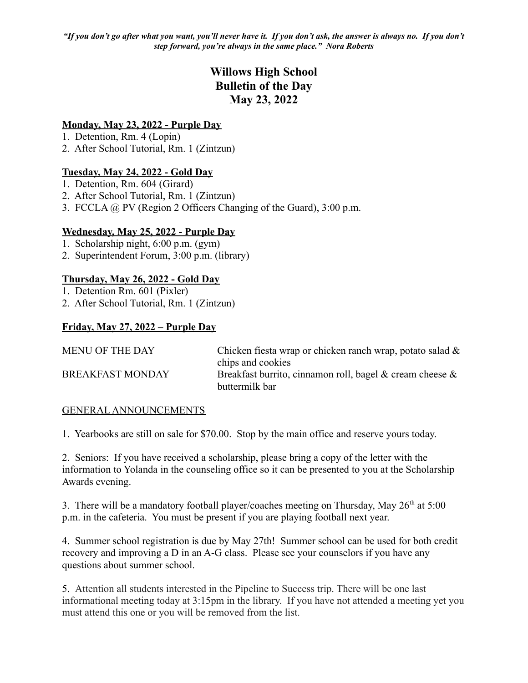"If you don't go after what you want, you'll never have it. If you don't ask, the answer is always no. If you don't *step forward, you're always in the same place." Nora Roberts*

# **Willows High School Bulletin of the Day May 23, 2022**

### **Monday, May 23, 2022 - Purple Day**

- 1. Detention, Rm. 4 (Lopin)
- 2. After School Tutorial, Rm. 1 (Zintzun)

## **Tuesday, May 24, 2022 - Gold Day**

- 1. Detention, Rm. 604 (Girard)
- 2. After School Tutorial, Rm. 1 (Zintzun)
- 3. FCCLA @ PV (Region 2 Officers Changing of the Guard), 3:00 p.m.

### **Wednesday, May 25, 2022 - Purple Day**

- 1. Scholarship night, 6:00 p.m. (gym)
- 2. Superintendent Forum, 3:00 p.m. (library)

### **Thursday, May 26, 2022 - Gold Day**

- 1. Detention Rm. 601 (Pixler)
- 2. After School Tutorial, Rm. 1 (Zintzun)

### **Friday, May 27, 2022 – Purple Day**

| <b>MENU OF THE DAY</b>  | Chicken fiesta wrap or chicken ranch wrap, potato salad $\&$                     |
|-------------------------|----------------------------------------------------------------------------------|
|                         | chips and cookies                                                                |
| <b>BREAKFAST MONDAY</b> | Breakfast burrito, cinnamon roll, bagel $\&$ cream cheese $\&$<br>buttermilk bar |

#### GENERAL ANNOUNCEMENTS

1. Yearbooks are still on sale for \$70.00. Stop by the main office and reserve yours today.

2. Seniors: If you have received a scholarship, please bring a copy of the letter with the information to Yolanda in the counseling office so it can be presented to you at the Scholarship Awards evening.

3. There will be a mandatory football player/coaches meeting on Thursday, May  $26<sup>th</sup>$  at 5:00 p.m. in the cafeteria. You must be present if you are playing football next year.

4. Summer school registration is due by May 27th! Summer school can be used for both credit recovery and improving a D in an A-G class. Please see your counselors if you have any questions about summer school.

5. Attention all students interested in the Pipeline to Success trip. There will be one last informational meeting today at 3:15pm in the library. If you have not attended a meeting yet you must attend this one or you will be removed from the list.